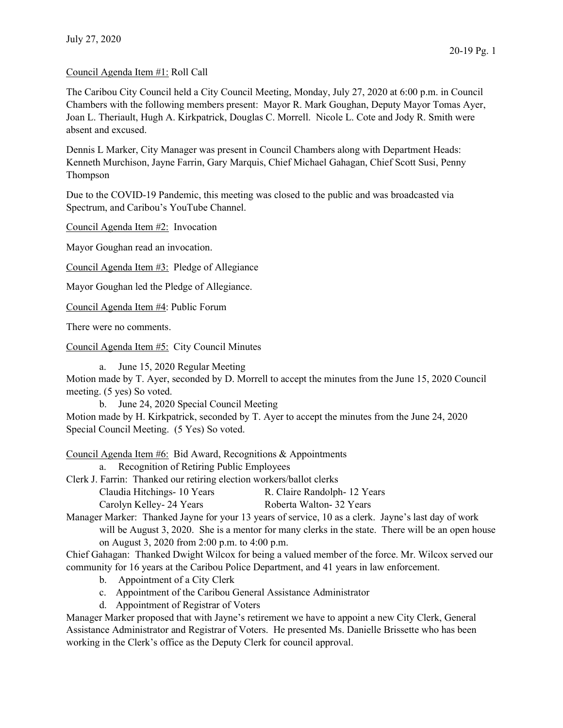## Council Agenda Item #1: Roll Call

The Caribou City Council held a City Council Meeting, Monday, July 27, 2020 at 6:00 p.m. in Council Chambers with the following members present: Mayor R. Mark Goughan, Deputy Mayor Tomas Ayer, Joan L. Theriault, Hugh A. Kirkpatrick, Douglas C. Morrell. Nicole L. Cote and Jody R. Smith were absent and excused.

Dennis L Marker, City Manager was present in Council Chambers along with Department Heads: Kenneth Murchison, Jayne Farrin, Gary Marquis, Chief Michael Gahagan, Chief Scott Susi, Penny Thompson

Due to the COVID-19 Pandemic, this meeting was closed to the public and was broadcasted via Spectrum, and Caribou's YouTube Channel.

Council Agenda Item #2: Invocation

Mayor Goughan read an invocation.

Council Agenda Item #3: Pledge of Allegiance

Mayor Goughan led the Pledge of Allegiance.

Council Agenda Item #4: Public Forum

There were no comments.

Council Agenda Item #5: City Council Minutes

a. June 15, 2020 Regular Meeting

Motion made by T. Ayer, seconded by D. Morrell to accept the minutes from the June 15, 2020 Council meeting. (5 yes) So voted.

b. June 24, 2020 Special Council Meeting

Motion made by H. Kirkpatrick, seconded by T. Ayer to accept the minutes from the June 24, 2020 Special Council Meeting. (5 Yes) So voted.

Council Agenda Item #6: Bid Award, Recognitions & Appointments

a. Recognition of Retiring Public Employees

Clerk J. Farrin: Thanked our retiring election workers/ballot clerks

- Claudia Hitchings- 10 Years R. Claire Randolph- 12 Years
- Carolyn Kelley- 24 Years Roberta Walton- 32 Years

Manager Marker: Thanked Jayne for your 13 years of service, 10 as a clerk. Jayne's last day of work will be August 3, 2020. She is a mentor for many clerks in the state. There will be an open house on August 3, 2020 from 2:00 p.m. to 4:00 p.m.

Chief Gahagan: Thanked Dwight Wilcox for being a valued member of the force. Mr. Wilcox served our community for 16 years at the Caribou Police Department, and 41 years in law enforcement.

- b. Appointment of a City Clerk
- c. Appointment of the Caribou General Assistance Administrator
- d. Appointment of Registrar of Voters

Manager Marker proposed that with Jayne's retirement we have to appoint a new City Clerk, General Assistance Administrator and Registrar of Voters. He presented Ms. Danielle Brissette who has been working in the Clerk's office as the Deputy Clerk for council approval.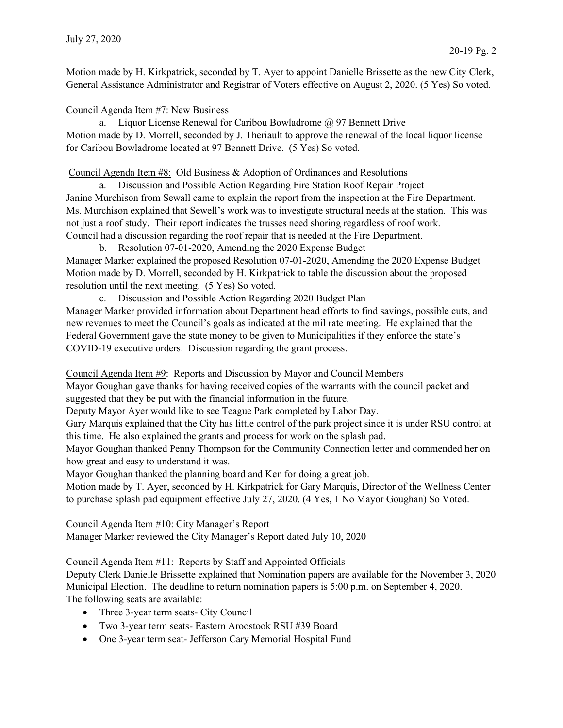Motion made by H. Kirkpatrick, seconded by T. Ayer to appoint Danielle Brissette as the new City Clerk, General Assistance Administrator and Registrar of Voters effective on August 2, 2020. (5 Yes) So voted.

## Council Agenda Item #7: New Business

a. Liquor License Renewal for Caribou Bowladrome  $\omega$  97 Bennett Drive Motion made by D. Morrell, seconded by J. Theriault to approve the renewal of the local liquor license for Caribou Bowladrome located at 97 Bennett Drive. (5 Yes) So voted.

## Council Agenda Item #8: Old Business & Adoption of Ordinances and Resolutions

a. Discussion and Possible Action Regarding Fire Station Roof Repair Project Janine Murchison from Sewall came to explain the report from the inspection at the Fire Department. Ms. Murchison explained that Sewell's work was to investigate structural needs at the station. This was not just a roof study. Their report indicates the trusses need shoring regardless of roof work. Council had a discussion regarding the roof repair that is needed at the Fire Department.

b. Resolution 07-01-2020, Amending the 2020 Expense Budget Manager Marker explained the proposed Resolution 07-01-2020, Amending the 2020 Expense Budget Motion made by D. Morrell, seconded by H. Kirkpatrick to table the discussion about the proposed resolution until the next meeting. (5 Yes) So voted.

c. Discussion and Possible Action Regarding 2020 Budget Plan

Manager Marker provided information about Department head efforts to find savings, possible cuts, and new revenues to meet the Council's goals as indicated at the mil rate meeting. He explained that the Federal Government gave the state money to be given to Municipalities if they enforce the state's COVID-19 executive orders. Discussion regarding the grant process.

Council Agenda Item #9: Reports and Discussion by Mayor and Council Members

Mayor Goughan gave thanks for having received copies of the warrants with the council packet and suggested that they be put with the financial information in the future.

Deputy Mayor Ayer would like to see Teague Park completed by Labor Day.

Gary Marquis explained that the City has little control of the park project since it is under RSU control at this time. He also explained the grants and process for work on the splash pad.

Mayor Goughan thanked Penny Thompson for the Community Connection letter and commended her on how great and easy to understand it was.

Mayor Goughan thanked the planning board and Ken for doing a great job.

Motion made by T. Ayer, seconded by H. Kirkpatrick for Gary Marquis, Director of the Wellness Center to purchase splash pad equipment effective July 27, 2020. (4 Yes, 1 No Mayor Goughan) So Voted.

Council Agenda Item #10: City Manager's Report

Manager Marker reviewed the City Manager's Report dated July 10, 2020

## Council Agenda Item #11: Reports by Staff and Appointed Officials

Deputy Clerk Danielle Brissette explained that Nomination papers are available for the November 3, 2020 Municipal Election. The deadline to return nomination papers is 5:00 p.m. on September 4, 2020. The following seats are available:

- Three 3-year term seats- City Council
- Two 3-year term seats- Eastern Aroostook RSU #39 Board
- One 3-year term seat- Jefferson Cary Memorial Hospital Fund